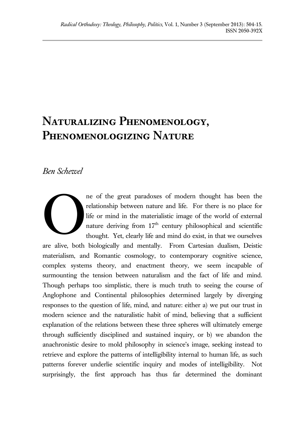## **Naturalizing Phenomenology, Phenomenologizing Nature**

## *Ben Schewel*

ne of the great paradoxes of modern thought has been the relationship between nature and life. For there is no place for life or mind in the materialistic image of the world of external nature deriving from  $17<sup>th</sup>$  century philosophical and scientific thought. Yet, clearly life and mind do exist, in that we ourselves

are alive, both biologically and mentally. From Cartesian dualism, Deistic materialism, and Romantic cosmology, to contemporary cognitive science, complex systems theory, and enactment theory, we seem incapable of surmounting the tension between naturalism and the fact of life and mind. Though perhaps too simplistic, there is much truth to seeing the course of Anglophone and Continental philosophies determined largely by diverging responses to the question of life, mind, and nature: either a) we put our trust in modern science and the naturalistic habit of mind, believing that a sufficient explanation of the relations between these three spheres will ultimately emerge through sufficiently disciplined and sustained inquiry, or b) we abandon the anachronistic desire to mold philosophy in science's image, seeking instead to retrieve and explore the patterns of intelligibility internal to human life, as such patterns forever underlie scientific inquiry and modes of intelligibility. Not surprisingly, the first approach has thus far determined the dominant O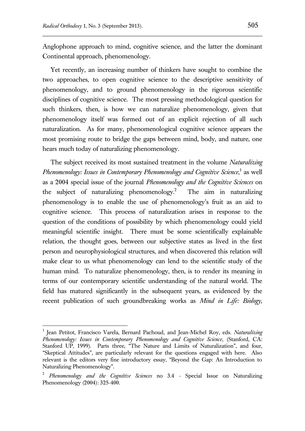$\overline{a}$ 

Anglophone approach to mind, cognitive science, and the latter the dominant Continental approach, phenomenology.

Yet recently, an increasing number of thinkers have sought to combine the two approaches, to open cognitive science to the descriptive sensitivity of phenomenology, and to ground phenomenology in the rigorous scientific disciplines of cognitive science. The most pressing methodological question for such thinkers, then, is how we can naturalize phenomenology, given that phenomenology itself was formed out of an explicit rejection of all such naturalization. As for many, phenomenological cognitive science appears the most promising route to bridge the gaps between mind, body, and nature, one hears much today of naturalizing phenomenology.

The subject received its most sustained treatment in the volume *Naturalizing Phenomenology: Issues in Contemporary Phenomenology and Cognitive Science*, 1 as well as a 2004 special issue of the journal *Phenomenology and the Cognitive Sciences* on the subject of naturalizing phenomenology.<sup>2</sup> The aim in naturalizing phenomenology is to enable the use of phenomenology's fruit as an aid to cognitive science. This process of naturalization arises in response to the question of the conditions of possibility by which phenomenology could yield meaningful scientific insight. There must be some scientifically explainable relation, the thought goes, between our subjective states as lived in the first person and neurophysiological structures, and when discovered this relation will make clear to us what phenomenology can lend to the scientific study of the human mind. To naturalize phenomenology, then, is to render its meaning in terms of our contemporary scientific understanding of the natural world. The field has matured significantly in the subsequent years, as evidenced by the recent publication of such groundbreaking works as *Mind in Life: Biology,* 

<sup>&</sup>lt;sup>1</sup> Jean Petitot, Francisco Varela, Bernard Pachoud, and Jean-Michel Roy, eds. *Naturalizing Phenomenology: Issues in Contemporary Phenomenology and Cognitive Science*, (Stanford, CA: Stanford UP, 1999). Parts three, "The Nature and Limits of Naturalization", and four, "Skeptical Attitudes", are particularly relevant for the questions engaged with here. Also relevant is the editors very fine introductory essay, "Beyond the Gap: An Introduction to Naturalizing Phenomenology".

<sup>2</sup> *Phenomenology and the Cognitive Sciences* no 3.4 - Special Issue on Naturalizing Phenomenology (2004): 325-400.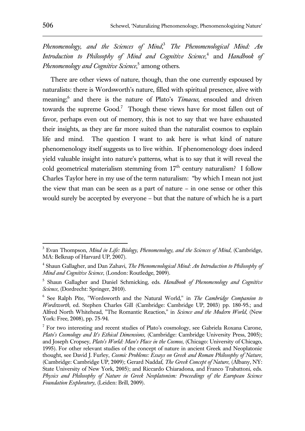*Phenomenology, and the Sciences of Mind*, <sup>3</sup> *The Phenomenological Mind: An Introduction to Philosophy of Mind and Cognitive Science,*<sup>4</sup> and *Handbook of Phenomenology and Cognitive Science*, 5 among others.

There are other views of nature, though, than the one currently espoused by naturalists: there is Wordsworth's nature, filled with spiritual presence, alive with meaning;<sup>6</sup> and there is the nature of Plato's *Timaeus*, ensouled and driven towards the supreme Good.<sup>7</sup> Though these views have for most fallen out of favor, perhaps even out of memory, this is not to say that we have exhausted their insights, as they are far more suited than the naturalist cosmos to explain life and mind. The question I want to ask here is what kind of nature phenomenology itself suggests us to live within. If phenomenology does indeed yield valuable insight into nature's patterns, what is to say that it will reveal the cold geometrical materialism stemming from  $17<sup>th</sup>$  century naturalism? I follow Charles Taylor here in my use of the term naturalism: "by which I mean not just the view that man can be seen as a part of nature – in one sense or other this would surely be accepted by everyone – but that the nature of which he is a part

<sup>3</sup> Evan Thompson, *Mind in Life: Biology, Phenomenology, and the Sciences of Mind*, (Cambridge, MA: Belknap of Harvard UP, 2007).

<sup>&</sup>lt;sup>4</sup> Shaun Gallagher, and Dan Zahavi, *The Phenomenological Mind: An Introduction to Philosophy of Mind and Cognitive Science*, (London: Routledge, 2009).

<sup>5</sup> Shaun Gallagher and Daniel Schmicking, eds. *Handbook of Phenomenology and Cognitive Science*, (Dordrecht: Springer, 2010).

<sup>6</sup> See Ralph Pite, "Wordsworth and the Natural World," in *The Cambridge Companion to Wordsworth*, ed. Stephen Charles Gill (Cambridge: Cambridge UP, 2003) pp. 180-95.; and Alfred North Whitehead, "The Romantic Reaction," in *Science and the Modern World*, (New York: Free, 2008), pp. 75-94.

<sup>&</sup>lt;sup>7</sup> For two interesting and recent studies of Plato's cosmology, see Gabriela Roxana Carone, *Plato's Cosmology and It's Ethical Dimensions*, (Cambridge: Cambridge University Press, 2005); and Joseph Cropsey, *Plato's World: Man's Place in the Cosmos*, (Chicago: University of Chicago, 1995). For other relevant studies of the concept of nature in ancient Greek and Neoplatonic thought, see David J. Furley, *Cosmic Problems: Essays on Greek and Roman Philosophy of Nature*, (Cambridge: Cambridge UP, 2009); Gerard Naddaf, *The Greek Concept of Nature*, (Albany, NY: State University of New York, 2005); and Riccardo Chiaradona, and Franco Trabattoni, eds. *Physics and Philosophy of Nature in Greek Neoplatonism: Proceedings of the European Science Foundation Exploratory*, (Leiden: Brill, 2009).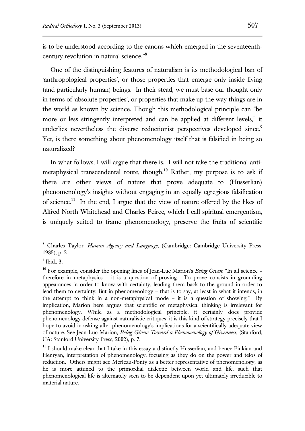is to be understood according to the canons which emerged in the seventeenthcentury revolution in natural science."<sup>8</sup>

One of the distinguishing features of naturalism is its methodological ban of 'anthropological properties', or those properties that emerge only inside living (and particularly human) beings. In their stead, we must base our thought only in terms of 'absolute properties', or properties that make up the way things are in the world as known by science. Though this methodological principle can "be more or less stringently interpreted and can be applied at different levels," it underlies nevertheless the diverse reductionist perspectives developed since.<sup>9</sup> Yet, is there something about phenomenology itself that is falsified in being so naturalized?

In what follows, I will argue that there is. I will not take the traditional antimetaphysical transcendental route, though.<sup>10</sup> Rather, my purpose is to ask if there are other views of nature that prove adequate to (Husserlian) phenomenology's insights without engaging in an equally egregious falsification of science.<sup>11</sup> In the end, I argue that the view of nature offered by the likes of Alfred North Whitehead and Charles Peirce, which I call spiritual emergentism, is uniquely suited to frame phenomenology, preserve the fruits of scientific

<sup>8</sup> Charles Taylor, *Human Agency and Language*, (Cambridge: Cambridge University Press, 1985), p. 2.

 $<sup>9</sup>$  Ibid., 3.</sup>

<sup>&</sup>lt;sup>10</sup> For example, consider the opening lines of Jean-Luc Marion's *Being Given*: "In all science – therefore in metaphysics – it is a question of proving. To prove consists in grounding appearances in order to know with certainty, leading them back to the ground in order to lead them to certainty. But in phenomenology – that is to say, at least in what it intends, in the attempt to think in a non-metaphysical mode – it is a question of showing." By implication, Marion here argues that scientific or metaphysical thinking is irrelevant for phenomenology. While as a methodological principle, it certainly does provide phenomenology defense against naturalistic critiques, it is this kind of strategy precisely that I hope to avoid in asking after phenomenology's implications for a scientifically adequate view of nature. See Jean-Luc Marion, *Being Given: Toward a Phenomenology of Givenness*, (Stanford, CA: Stanford University Press, 2002), p. 7.

<sup>&</sup>lt;sup>11</sup> I should make clear that I take in this essay a distinctly Husserlian, and hence Finkian and Henryan, interpretation of phenomenology, focusing as they do on the power and telos of reduction. Others might see Merleau-Ponty as a better representative of phenomenology, as he is more attuned to the primordial dialectic between world and life, such that phenomenological life is alternately seen to be dependent upon yet ultimately irreducible to material nature.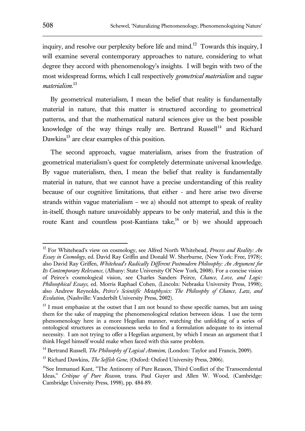inquiry, and resolve our perplexity before life and mind.<sup>12</sup> Towards this inquiry, I will examine several contemporary approaches to nature, considering to what degree they accord with phenomenology's insights. I will begin with two of the most widespread forms, which I call respectively *geometrical materialism* and *vague materialism*. 13

By geometrical materialism, I mean the belief that reality is fundamentally material in nature, that this matter is structured according to geometrical patterns, and that the mathematical natural sciences give us the best possible knowledge of the way things really are. Bertrand Russell<sup>14</sup> and Richard Dawkins<sup>15</sup> are clear examples of this position.

The second approach, vague materialism, arises from the frustration of geometrical materialism's quest for completely determinate universal knowledge. By vague materialism, then, I mean the belief that reality is fundamentally material in nature, that we cannot have a precise understanding of this reality because of our cognitive limitations, that either - and here arise two diverse strands within vague materialism – we a) should not attempt to speak of reality in-itself, though nature unavoidably appears to be only material, and this is the route Kant and countless post-Kantians take,<sup>16</sup> or b) we should approach

<sup>12</sup> For Whitehead's view on cosmology, see Alfred North Whitehead, *Process and Reality: An Essay in Cosmology*, ed. David Ray Griffin and Donald W. Sherburne, (New York: Free, 1978); also David Ray Griffen, *Whitehead's Radically Different Postmodern Philosophy: An Argument for Its Contemporary Relevance*, (Albany: State University Of New York, 2008). For a concise vision of Peirce's cosmological vision, see Charles Sanders Peirce, *Chance, Love, and Logic: Philosophical Essays*, ed. Morris Raphael Cohen, (Lincoln: Nebraska University Press, 1998); also Andrew Reynolds, *Peirce's Scientific Metaphysics: The Philosophy of Chance, Law, and Evolution*, (Nashville: Vanderbilt University Press, 2002).

 $13$  I must emphasize at the outset that I am not bound to these specific names, but am using them for the sake of mapping the phenomenological relation between ideas. I use the term phenomenology here in a more Hegelian manner, watching the unfolding of a series of ontological structures as consciousness seeks to find a formulation adequate to its internal necessity. I am not trying to offer a Hegelian argument, by which I mean an argument that I think Hegel himself would make when faced with this same problem.

<sup>&</sup>lt;sup>14</sup> Bertrand Russell, *The Philosophy of Logical Atomism*, (London: Taylor and Francis, 2009).

<sup>&</sup>lt;sup>15</sup> Richard Dawkins, *The Selfish Gene*, (Oxford: Oxford University Press, 2006).

<sup>&</sup>lt;sup>16</sup>See Immanuel Kant, "The Antinomy of Pure Reason, Third Conflict of the Transcendental Ideas," *Critique of Pure Reason*, trans. Paul Guyer and Allen W. Wood, (Cambridge: Cambridge University Press, 1998), pp. 484-89.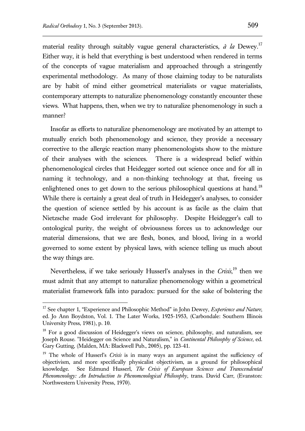$\overline{a}$ 

material reality through suitably vague general characteristics, *à la* Dewey.<sup>17</sup> Either way, it is held that everything is best understood when rendered in terms of the concepts of vague materialism and approached through a stringently experimental methodology. As many of those claiming today to be naturalists are by habit of mind either geometrical materialists or vague materialists, contemporary attempts to naturalize phenomenology constantly encounter these views. What happens, then, when we try to naturalize phenomenology in such a manner?

Insofar as efforts to naturalize phenomenology are motivated by an attempt to mutually enrich both phenomenology and science, they provide a necessary corrective to the allergic reaction many phenomenologists show to the mixture of their analyses with the sciences. There is a widespread belief within phenomenological circles that Heidegger sorted out science once and for all in naming it technology, and a non-thinking technology at that, freeing us enlightened ones to get down to the serious philosophical questions at hand.<sup>18</sup> While there is certainly a great deal of truth in Heidegger's analyses, to consider the question of science settled by his account is as facile as the claim that Nietzsche made God irrelevant for philosophy. Despite Heidegger's call to ontological purity, the weight of obviousness forces us to acknowledge our material dimensions, that we are flesh, bones, and blood, living in a world governed to some extent by physical laws, with science telling us much about the way things are.

Nevertheless, if we take seriously Husserl's analyses in the *Crisis*, <sup>19</sup> then we must admit that any attempt to naturalize phenomenology within a geometrical materialist framework falls into paradox: pursued for the sake of bolstering the

<sup>&</sup>lt;sup>17</sup> See chapter 1, "Experience and Philosophic Method" in John Dewey, *Experience and Nature*, ed. Jo Ann Boydston, Vol. 1. The Later Works, 1925-1953, (Carbondale: Southern Illinois University Press, 1981), p. 10.

<sup>&</sup>lt;sup>18</sup> For a good discussion of Heidegger's views on science, philosophy, and naturalism, see Joseph Rouse. "Heidegger on Science and Naturalism," in *Continental Philosophy of Science*, ed. Gary Gutting, (Malden, MA: Blackwell Pub., 2005), pp. 123-41.

<sup>&</sup>lt;sup>19</sup> The whole of Husserl's *Crisis* is in many ways an argument against the sufficiency of objectivism, and more specifically physicalist objectivism, as a ground for philosophical knowledge. See Edmund Husserl, *The Crisis of European Sciences and Transcendental Phenomenology: An Introduction to Phenomenological Philosophy*, trans. David Carr, (Evanston: Northwestern University Press, 1970).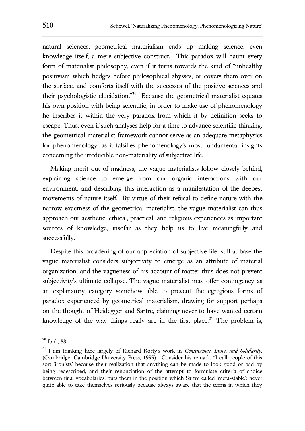natural sciences, geometrical materialism ends up making science, even knowledge itself, a mere subjective construct. This paradox will haunt every form of materialist philosophy, even if it turns towards the kind of "unhealthy positivism which hedges before philosophical abysses, or covers them over on the surface, and comforts itself with the successes of the positive sciences and their psychologistic elucidation."<sup>20</sup> Because the geometrical materialist equates his own position with being scientific, in order to make use of phenomenology he inscribes it within the very paradox from which it by definition seeks to escape. Thus, even if such analyses help for a time to advance scientific thinking, the geometrical materialist framework cannot serve as an adequate metaphysics for phenomenology, as it falsifies phenomenology's most fundamental insights concerning the irreducible non-materiality of subjective life.

Making merit out of madness, the vague materialists follow closely behind, explaining science to emerge from our organic interactions with our environment, and describing this interaction as a manifestation of the deepest movements of nature itself. By virtue of their refusal to define nature with the narrow exactness of the geometrical materialist, the vague materialist can thus approach our aesthetic, ethical, practical, and religious experiences as important sources of knowledge, insofar as they help us to live meaningfully and successfully.

Despite this broadening of our appreciation of subjective life, still at base the vague materialist considers subjectivity to emerge as an attribute of material organization, and the vagueness of his account of matter thus does not prevent subjectivity's ultimate collapse. The vague materialist may offer contingency as an explanatory category somehow able to prevent the egregious forms of paradox experienced by geometrical materialism, drawing for support perhaps on the thought of Heidegger and Sartre, claiming never to have wanted certain knowledge of the way things really are in the first place.<sup>21</sup> The problem is,

 $20$  Ibid., 88.

<sup>21</sup> I am thinking here largely of Richard Rorty's work in *Contingency, Irony, and Solidarity,*  (Cambridge: Cambridge University Press, 1999). Consider his remark, "I call people of this sort 'ironists' because their realization that anything can be made to look good or bad by being redescribed, and their renunciation of the attempt to formulate criteria of choice between final vocabularies, puts them in the position which Sartre called 'meta-stable': never quite able to take themselves seriously because always aware that the terms in which they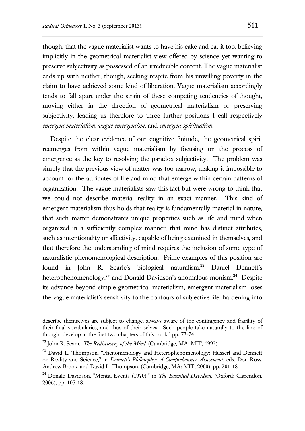though, that the vague materialist wants to have his cake and eat it too, believing implicitly in the geometrical materialist view offered by science yet wanting to preserve subjectivity as possessed of an irreducible content. The vague materialist ends up with neither, though, seeking respite from his unwilling poverty in the claim to have achieved some kind of liberation. Vague materialism accordingly tends to fall apart under the strain of these competing tendencies of thought, moving either in the direction of geometrical materialism or preserving subjectivity, leading us therefore to three further positions I call respectively *emergent materialism*, *vague emergentism*, and *emergent spiritualism*.

Despite the clear evidence of our cognitive finitude, the geometrical spirit reemerges from within vague materialism by focusing on the process of emergence as the key to resolving the paradox subjectivity. The problem was simply that the previous view of matter was too narrow, making it impossible to account for the attributes of life and mind that emerge within certain patterns of organization. The vague materialists saw this fact but were wrong to think that we could not describe material reality in an exact manner. This kind of emergent materialism thus holds that reality is fundamentally material in nature, that such matter demonstrates unique properties such as life and mind when organized in a sufficiently complex manner, that mind has distinct attributes, such as intentionality or affectivity, capable of being examined in themselves, and that therefore the understanding of mind requires the inclusion of some type of naturalistic phenomenological description. Prime examples of this position are found in John R. Searle's biological naturalism,<sup>22</sup> Daniel Dennett's heterophenomenology,<sup>23</sup> and Donald Davidson's anomalous monism.<sup>24</sup> Despite its advance beyond simple geometrical materialism, emergent materialism loses the vague materialist's sensitivity to the contours of subjective life, hardening into

describe themselves are subject to change, always aware of the contingency and fragility of their final vocabularies, and thus of their selves. Such people take naturally to the line of thought develop in the first two chapters of this book," pp. 73-74.

<sup>22</sup> John R. Searle, *The Rediscovery of the Mind*, (Cambridge, MA: MIT, 1992).

<sup>&</sup>lt;sup>23</sup> David L. Thompson, "Phenomenology and Heterophenomenology: Husserl and Dennett on Reality and Science," in *Dennett's Philosophy: A Comprehensive Assessment*. eds. Don Ross, Andrew Brook, and David L. Thompson, (Cambridge, MA: MIT, 2000), pp. 201-18.

<sup>24</sup> Donald Davidson, "Mental Events (1970)," in *The Essential Davidson*, (Oxford: Clarendon, 2006), pp. 105-18.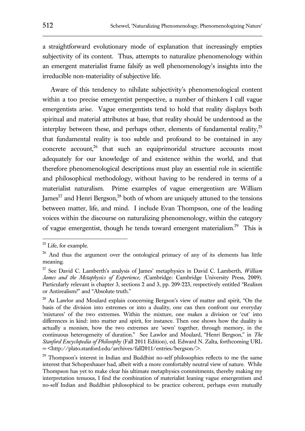a straightforward evolutionary mode of explanation that increasingly empties subjectivity of its content. Thus, attempts to naturalize phenomenology within an emergent materialist frame falsify as well phenomenology's insights into the irreducible non-materiality of subjective life.

Aware of this tendency to nihilate subjectivity's phenomenological content within a too precise emergentist perspective, a number of thinkers I call vague emergentists arise. Vague emergentists tend to hold that reality displays both spiritual and material attributes at base, that reality should be understood as the interplay between these, and perhaps other, elements of fundamental reality, $25$ that fundamental reality is too subtle and profound to be contained in any concrete account, $26$  that such an equiprimoridal structure accounts most adequately for our knowledge of and existence within the world, and that therefore phenomenological descriptions must play an essential role in scientific and philosophical methodology, without having to be rendered in terms of a materialist naturalism. Prime examples of vague emergentism are William James<sup>27</sup> and Henri Bergson,<sup>28</sup> both of whom are uniquely attuned to the tensions between matter, life, and mind. I include Evan Thompson, one of the leading voices within the discourse on naturalizing phenomenology, within the category of vague emergentist, though he tends toward emergent materialism.<sup>29</sup> This is

<sup>&</sup>lt;sup>25</sup> Life, for example.

<sup>&</sup>lt;sup>26</sup> And thus the argument over the ontological primacy of any of its elements has little meaning.

<sup>27</sup> See David C. Lamberth's analysis of James' metaphysics in David C. Lamberth, *William James and the Metaphysics of Experience, (*Cambridge: Cambridge University Press, 2009). Particularly relevant is chapter 3, sections 2 and 3, pp. 209-223, respectively entitled "Realism or Antirealism?" and "Absolute truth."

<sup>&</sup>lt;sup>28</sup> As Lawlor and Moulard explain concerning Bergson's view of matter and spirit, "On the basis of the division into extremes or into a duality, one can then confront our everyday 'mixtures' of the two extremes. Within the mixture, one makes a division or 'cut' into differences in kind: into matter and spirit, for instance. Then one shows how the duality is actually a monism, how the two extremes are 'sewn' together, through memory, in the continuous heterogeneity of duration." See Lawlor and Moulard, "Henri Bergson," in *The Stanford Encyclopedia of Philosophy* (Fall 2011 Edition), ed. Edward N. Zalta, forthcoming URL = <http://plato.stanford.edu/archives/fall2011/entries/bergson/>.

<sup>&</sup>lt;sup>29</sup> Thompson's interest in Indian and Buddhist no-self philosophies reflects to me the same interest that Schopenhauer had, albeit with a more comfortably neutral view of nature. While Thompson has yet to make clear his ultimate metaphysics commitments, thereby making my interpretation tenuous, I find the combination of materialist leaning vague emergentism and no-self Indian and Buddhist philosophical to be practice coherent, perhaps even mutually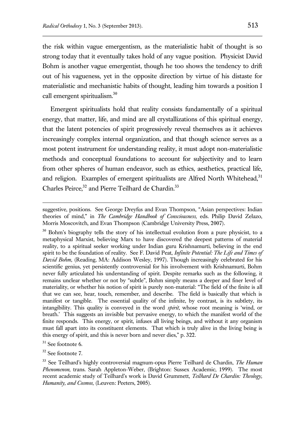the risk within vague emergentism, as the materialistic habit of thought is so strong today that it eventually takes hold of any vague position. Physicist David Bohm is another vague emergentist, though he too shows the tendency to drift out of his vagueness, yet in the opposite direction by virtue of his distaste for materialistic and mechanistic habits of thought, leading him towards a position I call emergent spiritualism.<sup>30</sup>

Emergent spiritualists hold that reality consists fundamentally of a spiritual energy, that matter, life, and mind are all crystallizations of this spiritual energy, that the latent potencies of spirit progressively reveal themselves as it achieves increasingly complex internal organization, and that though science serves as a most potent instrument for understanding reality, it must adopt non-materialistic methods and conceptual foundations to account for subjectivity and to learn from other spheres of human endeavor, such as ethics, aesthetics, practical life, and religion. Examples of emergent spiritualists are Alfred North Whitehead,<sup>31</sup> Charles Peirce,<sup>32</sup> and Pierre Teilhard de Chardin.<sup>33</sup>

 $31$  See footnote 6.

 $\overline{a}$ 

<sup>32</sup> See footnote 7.

suggestive, positions. See George Dreyfus and Evan Thompson, "Asian perspectives: Indian theories of mind," in *The Cambridge Handbook of Consciousness,* eds. Philip David Zelazo, Morris Moscovitch, and Evan Thompson (Cambridge University Press, 2007).

<sup>&</sup>lt;sup>30</sup> Bohm's biography tells the story of his intellectual evolution from a pure physicist, to a metaphysical Marxist, believing Marx to have discovered the deepest patterns of material reality, to a spiritual seeker working under Indian guru Krishnamurti, believing in the end spirit to be the foundation of reality. See F. David Peat, *Infinite Potential: The Life and Times of David Bohm*, (Reading, MA: Addison Wesley, 1997). Though increasingly celebrated for his scientific genius, yet persistently controversial for his involvement with Krishnamurti, Bohm never fully articulated his understanding of spirit. Despite remarks such as the following, it remains unclear whether or not by "subtle", Bohm simply means a deeper and finer level of materiality, or whether his notion of spirit is purely non-material: "The field of the finite is all that we can see, hear, touch, remember, and describe. The field is basically that which is manifest or tangible. The essential quality of the infinite, by contrast, is its subtlety, its intangibility. This quality is conveyed in the word *spirit*, whose root meaning is 'wind, or breath.' This suggests an invisible but pervasive energy, to which the manifest world of the finite responds. This energy, or spirit, infuses all living beings, and without it any organism must fall apart into its constituent elements. That which is truly alive in the living being is this energy of spirit, and this is never born and never dies," p. 322.

<sup>33</sup> See Teilhard's highly controversial magnum-opus Pierre Teilhard de Chardin, *The Human Phenomenon*, trans. Sarah Appleton-Weber, (Brighton: Sussex Academic, 1999). The most recent academic study of Teilhard's work is David Grummett, *Teilhard De Chardin: Theology, Humanity, and Cosmos*, (Leuven: Peeters, 2005).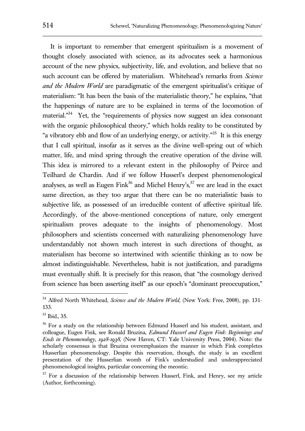It is important to remember that emergent spiritualism is a movement of thought closely associated with science, as its advocates seek a harmonious account of the new physics, subjectivity, life, and evolution, and believe that no such account can be offered by materialism. Whitehead's remarks from *Science and the Modern World* are paradigmatic of the emergent spiritualist's critique of materialism: "It has been the basis of the materialistic theory," he explains, "that the happenings of nature are to be explained in terms of the locomotion of material."<sup>34</sup> Yet, the "requirements of physics now suggest an idea consonant with the organic philosophical theory," which holds reality to be constituted by "a vibratory ebb and flow of an underlying energy, or activity."<sup>35</sup> It is this energy that I call spiritual, insofar as it serves as the divine well-spring out of which matter, life, and mind spring through the creative operation of the divine will. This idea is mirrored to a relevant extent in the philosophy of Peirce and Teilhard de Chardin. And if we follow Husserl's deepest phenomenological analyses, as well as Eugen Fink<sup>36</sup> and Michel Henry's,  $37$  we are lead in the exact same direction, as they too argue that there can be no materialistic basis to subjective life, as possessed of an irreducible content of affective spiritual life. Accordingly, of the above-mentioned conceptions of nature, only emergent spiritualism proves adequate to the insights of phenomenology. Most philosophers and scientists concerned with naturalizing phenomenology have understandably not shown much interest in such directions of thought, as materialism has become so intertwined with scientific thinking as to now be almost indistinguishable. Nevertheless, habit is not justification, and paradigms must eventually shift. It is precisely for this reason, that "the cosmology derived from science has been asserting itself" as our epoch's "dominant preoccupation,"

<sup>&</sup>lt;sup>34</sup> Alfred North Whitehead, *Science and the Modern World*, (New York: Free, 2008), pp. 131-133.

<sup>35</sup> Ibid., 35.

<sup>&</sup>lt;sup>36</sup> For a study on the relationship between Edmund Husserl and his student, assistant, and colleague, Eugen Fink, see Ronald Bruzina, *Edmund Husserl and Eugen Fink: Beginnings and Ends in Phenomenology, 1928-1938*, (New Haven, CT: Yale University Press, 2004). Note: the scholarly consensus is that Bruzina overemphasizes the manner in which Fink completes Husserlian phenomenology. Despite this reservation, though, the study is an excellent presentation of the Husserlian womb of Fink's understudied and underappreciated phenomenological insights, particular concerning the meontic.

<sup>&</sup>lt;sup>37</sup> For a discussion of the relationship between Husserl, Fink, and Henry, see my article (Author, forthcoming).